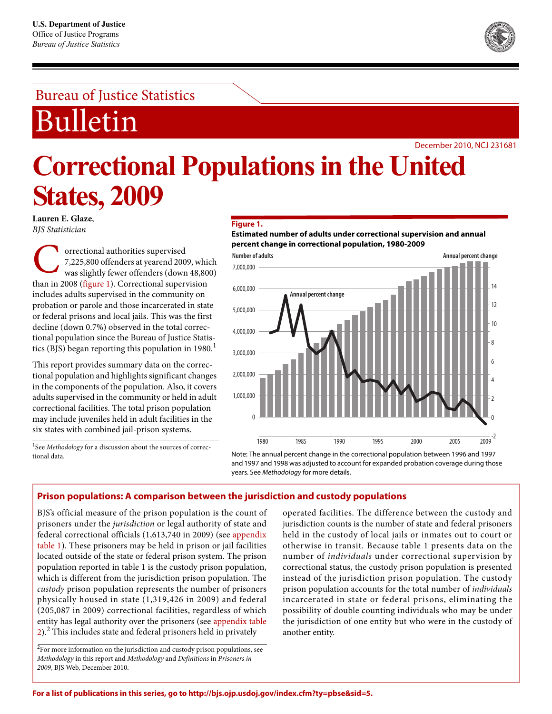# Bureau of Justice Statistics

Bulletin

**States, 2009**

**Lauren E. Glaze**, *BJS Statistician*

December 2010, NCJ 231681

#### **Figure 1.**

**Correctional Populations in the United** 

**Estimated number of adults under correctional supervision and annual percent change in correctional population, 1980-2009**

orrectional authorities supervised 7,225,800 offenders at yearend 2009, which was slightly fewer offenders (down 48,800) **C** orrectional authorities supervised<br>
7,225,800 offenders at yearend 2009, which<br>
was slightly fewer offenders (down 48,80<br>
than in 2008 (figure 1). Correctional supervision includes adults supervised in the community on probation or parole and those incarcerated in state or federal prisons and local jails. This was the first decline (down 0.7%) observed in the total correctional population since the Bureau of Justice Statistics (BJS) began reporting this population in  $1980<sup>1</sup>$ 

This report provides summary data on the correctional population and highlights significant changes in the components of the population. Also, it covers adults supervised in the community or held in adult correctional facilities. The total prison population may include juveniles held in adult facilities in the six states with combined jail-prison systems.

<sup>1</sup>See Methodology for a discussion about the sources of correctional data.



Note: The annual percent change in the correctional population between 1996 and 1997 and 1997 and 1998 was adjusted to account for expanded probation coverage during those years. See Methodology for more details.

## **Prison populations: A comparison between the jurisdiction and custody populations**

BJS's official measure of the prison population is the count of prisoners under the *jurisdiction* or legal authority of state and federal correctional officials (1,613,740 in 2009) (see appendix table 1). These prisoners may be held in prison or jail facilities located outside of the state or federal prison system. The prison population reported in table 1 is the custody prison population, which is different from the jurisdiction prison population. The *custody* prison population represents the number of prisoners physically housed in state (1,319,426 in 2009) and federal (205,087 in 2009) correctional facilities, regardless of which entity has legal authority over the prisoners (see appendix table 2).<sup>2</sup> This includes state and federal prisoners held in privately

 $2$ For more information on the jurisdiction and custody prison populations, see *Methodology* in this report and *Methodology* and *Definitions* in *Prisoners in 2009*, BJS Web, December 2010.

operated facilities. The difference between the custody and jurisdiction counts is the number of state and federal prisoners held in the custody of local jails or inmates out to court or otherwise in transit. Because table 1 presents data on the number of *individuals* under correctional supervision by correctional status, the custody prison population is presented instead of the jurisdiction prison population. The custody prison population accounts for the total number of *individuals* incarcerated in state or federal prisons, eliminating the possibility of double counting individuals who may be under the jurisdiction of one entity but who were in the custody of another entity.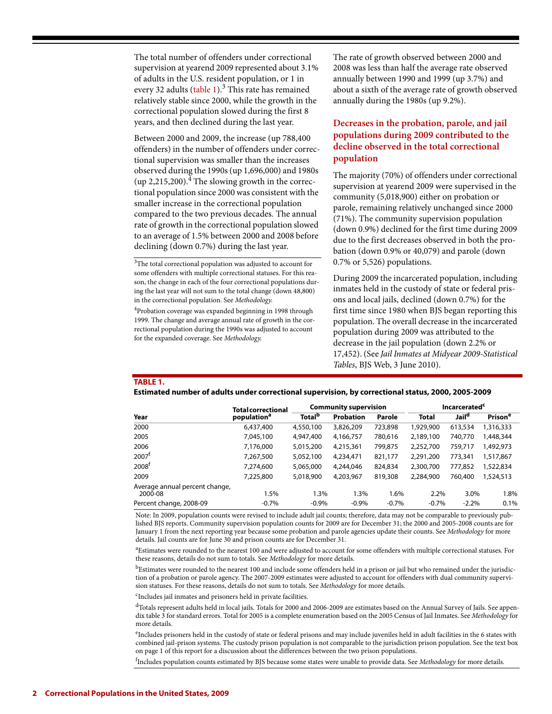The total number of offenders under correctional supervision at yearend 2009 represented about 3.1% of adults in the U.S. resident population, or 1 in every 32 adults (table 1).<sup>3</sup> This rate has remained relatively stable since 2000, while the growth in the correctional population slowed during the first 8 years, and then declined during the last year.

Between 2000 and 2009, the increase (up 788,400 offenders) in the number of offenders under correctional supervision was smaller than the increases observed during the 1990s (up 1,696,000) and 1980s (up 2,215,200).<sup>4</sup> The slowing growth in the correctional population since 2000 was consistent with the smaller increase in the correctional population compared to the two previous decades*.* The annual rate of growth in the correctional population slowed to an average of 1.5% between 2000 and 2008 before declining (down 0.7%) during the last year.

<sup>4</sup>Probation coverage was expanded beginning in 1998 through 1999. The change and average annual rate of growth in the correctional population during the 1990s was adjusted to account for the expanded coverage. See *Methodology*.

The rate of growth observed between 2000 and 2008 was less than half the average rate observed annually between 1990 and 1999 (up 3.7%) and about a sixth of the average rate of growth observed annually during the 1980s (up 9.2%).

# **Decreases in the probation, parole, and jail populations during 2009 contributed to the decline observed in the total correctional population**

The majority (70%) of offenders under correctional supervision at yearend 2009 were supervised in the community (5,018,900) either on probation or parole, remaining relatively unchanged since 2000 (71%). The community supervision population (down 0.9%) declined for the first time during 2009 due to the first decreases observed in both the probation (down 0.9% or 40,079) and parole (down 0.7% or 5,526) populations.

During 2009 the incarcerated population, including inmates held in the custody of state or federal prisons and local jails, declined (down 0.7%) for the first time since 1980 when BJS began reporting this population. The overall decrease in the incarcerated population during 2009 was attributed to the decrease in the jail population (down 2.2% or 17,452). (See *Jail Inmates at Midyear 2009-Statistical Tables*, BJS Web, 3 June 2010).

### **TABLE 1.**

|  | Estimated number of adults under correctional supervision, by correctional status, 2000, 2005-2009 |
|--|----------------------------------------------------------------------------------------------------|
|--|----------------------------------------------------------------------------------------------------|

|                                           | <b>Total correctional</b><br>population <sup>a</sup> | <b>Community supervision</b> |                  |         | Incarcerated <sup>c</sup> |                   |                     |
|-------------------------------------------|------------------------------------------------------|------------------------------|------------------|---------|---------------------------|-------------------|---------------------|
| Year                                      |                                                      | <b>Total</b> <sup>b</sup>    | <b>Probation</b> | Parole  | <b>Total</b>              | Jail <sup>a</sup> | Prison <sup>e</sup> |
| 2000                                      | 6,437,400                                            | 4,550,100                    | 3,826,209        | 723,898 | 1,929,900                 | 613,534           | 1,316,333           |
| 2005                                      | 7,045,100                                            | 4,947,400                    | 4,166,757        | 780,616 | 2,189,100                 | 740,770           | 1,448,344           |
| 2006                                      | 7,176,000                                            | 5,015,200                    | 4,215,361        | 799,875 | 2,252,700                 | 759.717           | 1,492,973           |
| 2007 <sup>1</sup>                         | 7,267,500                                            | 5,052,100                    | 4,234,471        | 821,177 | 2,291,200                 | 773,341           | 1,517,867           |
| 2008 <sup>†</sup>                         | 7,274,600                                            | 5,065,000                    | 4,244,046        | 824,834 | 2,300,700                 | 777,852           | 1,522,834           |
| 2009                                      | 7.225.800                                            | 5,018,900                    | 4,203,967        | 819,308 | 2,284,900                 | 760,400           | 1,524,513           |
| Average annual percent change,<br>2000-08 | 1.5%                                                 | 1.3%                         | 1.3%             | 1.6%    | 2.2%                      | 3.0%              | 1.8%                |
| Percent change, 2008-09                   | $-0.7%$                                              | $-0.9%$                      | $-0.9%$          | $-0.7%$ | $-0.7%$                   | $-2.2%$           | 0.1%                |

Note: In 2009, population counts were revised to include adult jail counts; therefore, data may not be comparable to previously published BJS reports. Community supervision population counts for 2009 are for December 31; the 2000 and 2005-2008 counts are for January 1 from the next reporting year because some probation and parole agencies update their counts. See *Methodology* for more details. Jail counts are for June 30 and prison counts are for December 31.

a Estimates were rounded to the nearest 100 and were adjusted to account for some offenders with multiple correctional statuses. For these reasons, details do not sum to totals. See *Methodology* for more details.

bEstimates were rounded to the nearest 100 and include some offenders held in a prison or jail but who remained under the jurisdiction of a probation or parole agency. The 2007-2009 estimates were adjusted to account for offenders with dual community supervision statuses. For these reasons, details do not sum to totals. See *Methodology* for more details.

c Includes jail inmates and prisoners held in private facilities.

 $<sup>d</sup>$ Totals represent adults held in local jails. Totals for 2000 and 2006-2009 are estimates based on the Annual Survey of Jails. See appen-</sup> dix table 3 for standard errors. Total for 2005 is a complete enumeration based on the 2005 Census of Jail Inmates. See *Methodology* for more details.

e Includes prisoners held in the custody of state or federal prisons and may include juveniles held in adult facilities in the 6 states with combined jail-prison systems. The custody prison population is not comparable to the jurisdiction prison population. See the text box on page 1 of this report for a discussion about the differences between the two prison populations.

f Includes population counts estimated by BJS because some states were unable to provide data. See *Methodology* for more details.

<sup>&</sup>lt;sup>3</sup>The total correctional population was adjusted to account for some offenders with multiple correctional statuses. For this reason, the change in each of the four correctional populations during the last year will not sum to the total change (down 48,800) in the correctional population. See *Methodology*.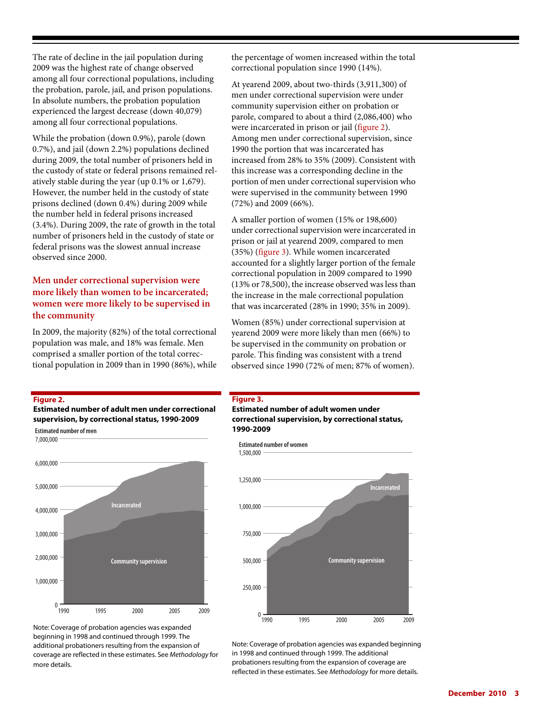The rate of decline in the jail population during 2009 was the highest rate of change observed among all four correctional populations, including the probation, parole, jail, and prison populations. In absolute numbers, the probation population experienced the largest decrease (down 40,079) among all four correctional populations.

While the probation (down 0.9%), parole (down 0.7%), and jail (down 2.2%) populations declined during 2009, the total number of prisoners held in the custody of state or federal prisons remained relatively stable during the year (up 0.1% or 1,679). However, the number held in the custody of state prisons declined (down 0.4%) during 2009 while the number held in federal prisons increased (3.4%). During 2009, the rate of growth in the total number of prisoners held in the custody of state or federal prisons was the slowest annual increase observed since 2000.

# **Men under correctional supervision were more likely than women to be incarcerated; women were more likely to be supervised in the community**

In 2009, the majority (82%) of the total correctional population was male, and 18% was female. Men comprised a smaller portion of the total correctional population in 2009 than in 1990 (86%), while the percentage of women increased within the total correctional population since 1990 (14%).

At yearend 2009, about two-thirds (3,911,300) of men under correctional supervision were under community supervision either on probation or parole, compared to about a third (2,086,400) who were incarcerated in prison or jail (figure 2). Among men under correctional supervision, since 1990 the portion that was incarcerated has increased from 28% to 35% (2009). Consistent with this increase was a corresponding decline in the portion of men under correctional supervision who were supervised in the community between 1990 (72%) and 2009 (66%).

A smaller portion of women (15% or 198,600) under correctional supervision were incarcerated in prison or jail at yearend 2009, compared to men (35%) (figure 3). While women incarcerated accounted for a slightly larger portion of the female correctional population in 2009 compared to 1990 (13% or 78,500), the increase observed was less than the increase in the male correctional population that was incarcerated (28% in 1990; 35% in 2009).

Women (85%) under correctional supervision at yearend 2009 were more likely than men (66%) to be supervised in the community on probation or parole. This finding was consistent with a trend observed since 1990 (72% of men; 87% of women).

#### **Figure 2.**

**Estimated number of adult men under correctional supervision, by correctional status, 1990-2009**



Note: Coverage of probation agencies was expanded beginning in 1998 and continued through 1999. The additional probationers resulting from the expansion of coverage are reflected in these estimates. See Methodology for more details.

#### **Figure 3.**

**Estimated number of adult women under correctional supervision, by correctional status, 1990-2009**

**Estimated number of women** 



Note: Coverage of probation agencies was expanded beginning in 1998 and continued through 1999. The additional probationers resulting from the expansion of coverage are reflected in these estimates. See Methodology for more details.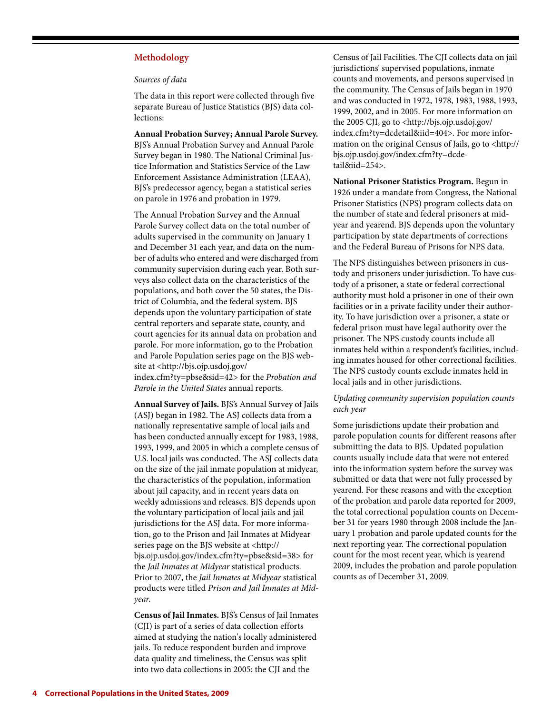## **Methodology**

#### *Sources of data*

The data in this report were collected through five separate Bureau of Justice Statistics (BJS) data collections:

**Annual Probation Survey; Annual Parole Survey.**  BJS's Annual Probation Survey and Annual Parole Survey began in 1980. The National Criminal Justice Information and Statistics Service of the Law Enforcement Assistance Administration (LEAA), BJS's predecessor agency, began a statistical series on parole in 1976 and probation in 1979.

The Annual Probation Survey and the Annual Parole Survey collect data on the total number of adults supervised in the community on January 1 and December 31 each year, and data on the number of adults who entered and were discharged from community supervision during each year. Both surveys also collect data on the characteristics of the populations, and both cover the 50 states, the District of Columbia, and the federal system. BJS depends upon the voluntary participation of state central reporters and separate state, county, and court agencies for its annual data on probation and parole. For more information, go to the Probation and Parole Population series page on the BJS website at <http://bjs.ojp.usdoj.gov/ index.cfm?ty=pbse&sid=42> for the *Probation and Parole in the United States* annual reports.

**Annual Survey of Jails.** BJS's Annual Survey of Jails (ASJ) began in 1982. The ASJ collects data from a nationally representative sample of local jails and has been conducted annually except for 1983, 1988, 1993, 1999, and 2005 in which a complete census of U.S. local jails was conducted. The ASJ collects data on the size of the jail inmate population at midyear, the characteristics of the population, information about jail capacity, and in recent years data on weekly admissions and releases. BJS depends upon the voluntary participation of local jails and jail jurisdictions for the ASJ data. For more information, go to the Prison and Jail Inmates at Midyear series page on the BJS website at <http:// bjs.ojp.usdoj.gov/index.cfm?ty=pbse&sid=38> for the *Jail Inmates at Midyear* statistical products. Prior to 2007, the *Jail Inmates at Midyear* statistical products were titled *Prison and Jail Inmates at Midyear*.

**Census of Jail Inmates.** BJS's Census of Jail Inmates (CJI) is part of a series of data collection efforts aimed at studying the nation's locally administered jails. To reduce respondent burden and improve data quality and timeliness, the Census was split into two data collections in 2005: the CJI and the

Census of Jail Facilities. The CJI collects data on jail jurisdictions' supervised populations, inmate counts and movements, and persons supervised in the community. The Census of Jails began in 1970 and was conducted in 1972, 1978, 1983, 1988, 1993, 1999, 2002, and in 2005. For more information on the 2005 CJI, go to <http://bjs.ojp.usdoj.gov/ index.cfm?ty=dcdetail&iid=404>. For more information on the original Census of Jails, go to <http:// bjs.ojp.usdoj.gov/index.cfm?ty=dcdetail&iid=254>.

**National Prisoner Statistics Program.** Begun in 1926 under a mandate from Congress, the National Prisoner Statistics (NPS) program collects data on the number of state and federal prisoners at midyear and yearend. BJS depends upon the voluntary participation by state departments of corrections and the Federal Bureau of Prisons for NPS data.

The NPS distinguishes between prisoners in custody and prisoners under jurisdiction. To have custody of a prisoner, a state or federal correctional authority must hold a prisoner in one of their own facilities or in a private facility under their authority. To have jurisdiction over a prisoner, a state or federal prison must have legal authority over the prisoner. The NPS custody counts include all inmates held within a respondent's facilities, including inmates housed for other correctional facilities. The NPS custody counts exclude inmates held in local jails and in other jurisdictions.

## *Updating community supervision population counts each year*

Some jurisdictions update their probation and parole population counts for different reasons after submitting the data to BJS. Updated population counts usually include data that were not entered into the information system before the survey was submitted or data that were not fully processed by yearend. For these reasons and with the exception of the probation and parole data reported for 2009, the total correctional population counts on December 31 for years 1980 through 2008 include the January 1 probation and parole updated counts for the next reporting year. The correctional population count for the most recent year, which is yearend 2009, includes the probation and parole population counts as of December 31, 2009.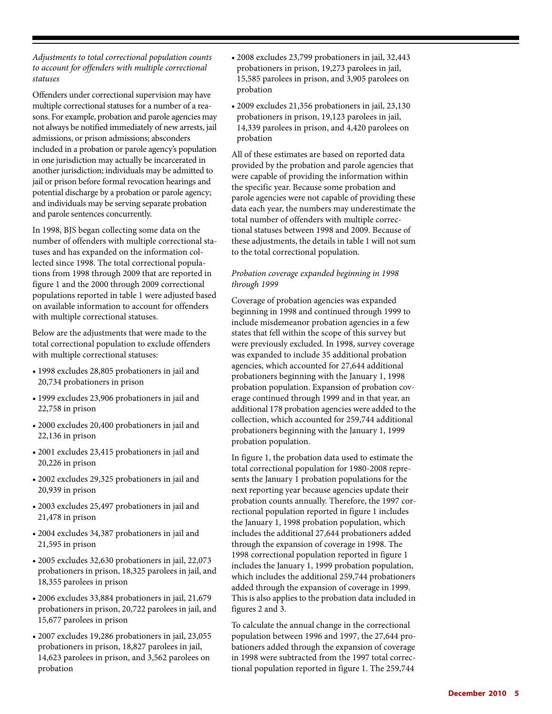*Adjustments to total correctional population counts to account for offenders with multiple correctional statuses*

Offenders under correctional supervision may have multiple correctional statuses for a number of a reasons. For example, probation and parole agencies may not always be notified immediately of new arrests, jail admissions, or prison admissions; absconders included in a probation or parole agency's population in one jurisdiction may actually be incarcerated in another jurisdiction; individuals may be admitted to jail or prison before formal revocation hearings and potential discharge by a probation or parole agency; and individuals may be serving separate probation and parole sentences concurrently.

In 1998, BJS began collecting some data on the number of offenders with multiple correctional statuses and has expanded on the information collected since 1998. The total correctional populations from 1998 through 2009 that are reported in figure 1 and the 2000 through 2009 correctional populations reported in table 1 were adjusted based on available information to account for offenders with multiple correctional statuses.

Below are the adjustments that were made to the total correctional population to exclude offenders with multiple correctional statuses:

- 1998 excludes 28,805 probationers in jail and 20,734 probationers in prison
- 1999 excludes 23,906 probationers in jail and 22,758 in prison
- 2000 excludes 20,400 probationers in jail and 22,136 in prison
- 2001 excludes 23,415 probationers in jail and 20,226 in prison
- 2002 excludes 29,325 probationers in jail and 20,939 in prison
- 2003 excludes 25,497 probationers in jail and 21,478 in prison
- 2004 excludes 34,387 probationers in jail and 21,595 in prison
- 2005 excludes 32,630 probationers in jail, 22,073 probationers in prison, 18,325 parolees in jail, and 18,355 parolees in prison
- 2006 excludes 33,884 probationers in jail, 21,679 probationers in prison, 20,722 parolees in jail, and 15,677 parolees in prison
- 2007 excludes 19,286 probationers in jail, 23,055 probationers in prison, 18,827 parolees in jail, 14,623 parolees in prison, and 3,562 parolees on probation
- 2008 excludes 23,799 probationers in jail, 32,443 probationers in prison, 19,273 parolees in jail, 15,585 parolees in prison, and 3,905 parolees on probation
- 2009 excludes 21,356 probationers in jail, 23,130 probationers in prison, 19,123 parolees in jail, 14,339 parolees in prison, and 4,420 parolees on probation

All of these estimates are based on reported data provided by the probation and parole agencies that were capable of providing the information within the specific year. Because some probation and parole agencies were not capable of providing these data each year, the numbers may underestimate the total number of offenders with multiple correctional statuses between 1998 and 2009. Because of these adjustments, the details in table 1 will not sum to the total correctional population.

## *Probation coverage expanded beginning in 1998 through 1999*

Coverage of probation agencies was expanded beginning in 1998 and continued through 1999 to include misdemeanor probation agencies in a few states that fell within the scope of this survey but were previously excluded. In 1998, survey coverage was expanded to include 35 additional probation agencies, which accounted for 27,644 additional probationers beginning with the January 1, 1998 probation population. Expansion of probation coverage continued through 1999 and in that year, an additional 178 probation agencies were added to the collection, which accounted for 259,744 additional probationers beginning with the January 1, 1999 probation population.

In figure 1, the probation data used to estimate the total correctional population for 1980-2008 represents the January 1 probation populations for the next reporting year because agencies update their probation counts annually. Therefore, the 1997 correctional population reported in figure 1 includes the January 1, 1998 probation population, which includes the additional 27,644 probationers added through the expansion of coverage in 1998. The 1998 correctional population reported in figure 1 includes the January 1, 1999 probation population, which includes the additional 259,744 probationers added through the expansion of coverage in 1999. This is also applies to the probation data included in figures 2 and 3.

To calculate the annual change in the correctional population between 1996 and 1997, the 27,644 probationers added through the expansion of coverage in 1998 were subtracted from the 1997 total correctional population reported in figure 1. The 259,744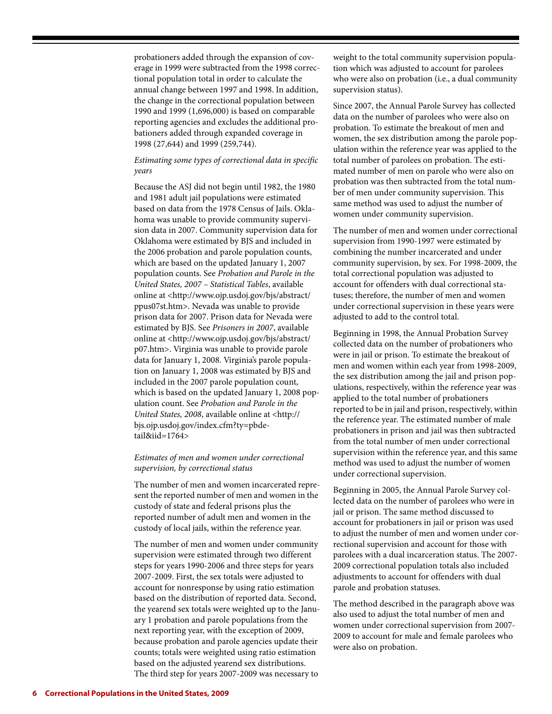probationers added through the expansion of coverage in 1999 were subtracted from the 1998 correctional population total in order to calculate the annual change between 1997 and 1998. In addition, the change in the correctional population between 1990 and 1999 (1,696,000) is based on comparable reporting agencies and excludes the additional probationers added through expanded coverage in 1998 (27,644) and 1999 (259,744).

## *Estimating some types of correctional data in specific years*

Because the ASJ did not begin until 1982, the 1980 and 1981 adult jail populations were estimated based on data from the 1978 Census of Jails. Oklahoma was unable to provide community supervision data in 2007. Community supervision data for Oklahoma were estimated by BJS and included in the 2006 probation and parole population counts, which are based on the updated January 1, 2007 population counts. See *Probation and Parole in the United States, 2007 – Statistical Tables*, available online at <http://www.ojp.usdoj.gov/bjs/abstract/ ppus07st.htm>. Nevada was unable to provide prison data for 2007. Prison data for Nevada were estimated by BJS. See *Prisoners in 2007*, available online at <http://www.ojp.usdoj.gov/bjs/abstract/ p07.htm>. Virginia was unable to provide parole data for January 1, 2008. Virginia's parole population on January 1, 2008 was estimated by BJS and included in the 2007 parole population count, which is based on the updated January 1, 2008 population count. See *Probation and Parole in the United States, 2008*, available online at <http:// bjs.ojp.usdoj.gov/index.cfm?ty=pbdetail&iid=1764>

## *Estimates of men and women under correctional supervision, by correctional status*

The number of men and women incarcerated represent the reported number of men and women in the custody of state and federal prisons plus the reported number of adult men and women in the custody of local jails, within the reference year.

The number of men and women under community supervision were estimated through two different steps for years 1990-2006 and three steps for years 2007-2009. First, the sex totals were adjusted to account for nonresponse by using ratio estimation based on the distribution of reported data. Second, the yearend sex totals were weighted up to the January 1 probation and parole populations from the next reporting year, with the exception of 2009, because probation and parole agencies update their counts; totals were weighted using ratio estimation based on the adjusted yearend sex distributions. The third step for years 2007-2009 was necessary to

weight to the total community supervision population which was adjusted to account for parolees who were also on probation (i.e., a dual community supervision status).

Since 2007, the Annual Parole Survey has collected data on the number of parolees who were also on probation. To estimate the breakout of men and women, the sex distribution among the parole population within the reference year was applied to the total number of parolees on probation. The estimated number of men on parole who were also on probation was then subtracted from the total number of men under community supervision. This same method was used to adjust the number of women under community supervision.

The number of men and women under correctional supervision from 1990-1997 were estimated by combining the number incarcerated and under community supervision, by sex. For 1998-2009, the total correctional population was adjusted to account for offenders with dual correctional statuses; therefore, the number of men and women under correctional supervision in these years were adjusted to add to the control total.

Beginning in 1998, the Annual Probation Survey collected data on the number of probationers who were in jail or prison. To estimate the breakout of men and women within each year from 1998-2009, the sex distribution among the jail and prison populations, respectively, within the reference year was applied to the total number of probationers reported to be in jail and prison, respectively, within the reference year. The estimated number of male probationers in prison and jail was then subtracted from the total number of men under correctional supervision within the reference year, and this same method was used to adjust the number of women under correctional supervision.

Beginning in 2005, the Annual Parole Survey collected data on the number of parolees who were in jail or prison. The same method discussed to account for probationers in jail or prison was used to adjust the number of men and women under correctional supervision and account for those with parolees with a dual incarceration status. The 2007- 2009 correctional population totals also included adjustments to account for offenders with dual parole and probation statuses.

The method described in the paragraph above was also used to adjust the total number of men and women under correctional supervision from 2007- 2009 to account for male and female parolees who were also on probation.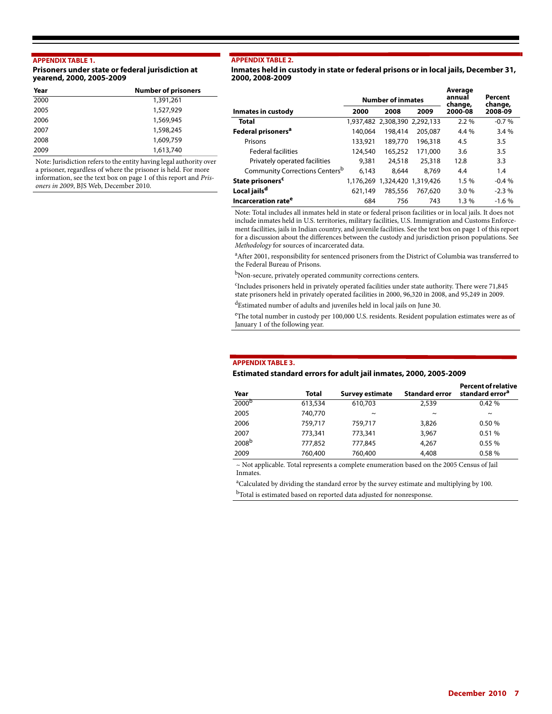#### **APPENDIX TABLE 1.**

#### **Prisoners under state or federal jurisdiction at yearend, 2000, 2005-2009**

| Year | <b>Number of prisoners</b> |  |  |  |
|------|----------------------------|--|--|--|
| 2000 | 1,391,261                  |  |  |  |
| 2005 | 1,527,929                  |  |  |  |
| 2006 | 1,569,945                  |  |  |  |
| 2007 | 1,598,245                  |  |  |  |
| 2008 | 1,609,759                  |  |  |  |
| 2009 | 1,613,740                  |  |  |  |

Note: Jurisdiction refers to the entity having legal authority over a prisoner, regardless of where the prisoner is held. For more information, see the text box on page 1 of this report and *Prisoners in 2009*, BJS Web, December 2010.

#### **APPENDIX TABLE 2.**

**Inmates held in custody in state or federal prisons or in local jails, December 31, 2000, 2008-2009**

|                                            | <b>Number of inmates</b> |                               |         | Average<br>annual<br>change, | Percent<br>change, |  |
|--------------------------------------------|--------------------------|-------------------------------|---------|------------------------------|--------------------|--|
| Inmates in custody                         | 2000                     | 2008<br>2009                  |         | 2000-08                      | 2008-09            |  |
| Total                                      |                          | 1,937,482 2,308,390 2,292,133 |         | $2.2\%$                      | $-0.7%$            |  |
| Federal prisoners <sup>a</sup>             | 140,064                  | 198,414                       | 205,087 | 4.4 %                        | 3.4%               |  |
| Prisons                                    | 133,921                  | 189,770                       | 196,318 | 4.5                          | 3.5                |  |
| <b>Federal facilities</b>                  | 124,540                  | 165,252                       | 171,000 | 3.6                          | 3.5                |  |
| Privately operated facilities              | 9,381                    | 24,518                        | 25,318  | 12.8                         | 3.3                |  |
| Community Corrections Centers <sup>b</sup> | 6.143                    | 8,644                         | 8.769   | 4.4                          | 1.4                |  |
| State prisoners <sup>c</sup>               |                          | 1,176,269 1,324,420 1,319,426 |         | 1.5%                         | $-0.4%$            |  |
| Local jails <sup>d</sup>                   | 621.149                  | 785,556                       | 767.620 | 3.0%                         | $-2.3%$            |  |
| Incarceration rate <sup>e</sup>            | 684                      | 756                           | 743     | $1.3\%$                      | $-1.6%$            |  |

Note: Total includes all inmates held in state or federal prison facilities or in local jails. It does not include inmates held in U.S. territories, military facilities, U.S. Immigration and Customs Enforcement facilities, jails in Indian country, and juvenile facilities. See the text box on page 1 of this report for a discussion about the differences between the custody and jurisdiction prison populations. See *Methodology* for sources of incarcerated data.

<sup>a</sup> After 2001, responsibility for sentenced prisoners from the District of Columbia was transferred to the Federal Bureau of Prisons.

bNon-secure, privately operated community corrections centers.

c Includes prisoners held in privately operated facilities under state authority. There were 71,845 state prisoners held in privately operated facilities in 2000, 96,320 in 2008, and 95,249 in 2009.

dEstimated number of adults and juveniles held in local jails on June 30.

eThe total number in custody per 100,000 U.S. residents. Resident population estimates were as of January 1 of the following year.

#### **APPENDIX TABLE 3.**

#### **Estimated standard errors for adult jail inmates, 2000, 2005-2009**

| Year              | <b>Total</b> | Survey estimate | <b>Standard error</b> | <b>Percent of relative</b><br>standard error <sup>a</sup> |
|-------------------|--------------|-----------------|-----------------------|-----------------------------------------------------------|
| 2000 <sup>b</sup> | 613,534      | 610,703         | 2.539                 | 0.42%                                                     |
| 2005              | 740,770      | $\tilde{}$      | $\sim$                | $\sim$                                                    |
| 2006              | 759,717      | 759,717         | 3,826                 | 0.50%                                                     |
| 2007              | 773,341      | 773,341         | 3,967                 | 0.51%                                                     |
| 2008 <sub>b</sub> | 777,852      | 777,845         | 4,267                 | 0.55%                                                     |
| 2009              | 760,400      | 760,400         | 4,408                 | 0.58%                                                     |

~ Not applicable. Total represents a complete enumeration based on the 2005 Census of Jail Inmates.

<sup>a</sup>Calculated by dividing the standard error by the survey estimate and multiplying by 100.

b<sub>Total</sub> is estimated based on reported data adjusted for nonresponse.